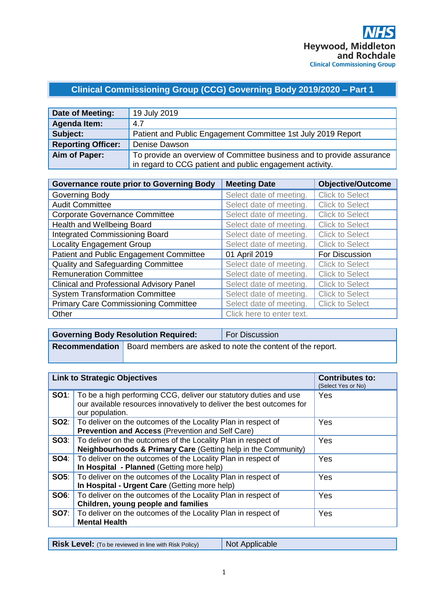# **Clinical Commissioning Group (CCG) Governing Body 2019/2020 – Part 1**

| Date of Meeting:          | 19 July 2019                                                          |
|---------------------------|-----------------------------------------------------------------------|
| <b>Agenda Item:</b>       | 4.7                                                                   |
| Subject:                  | Patient and Public Engagement Committee 1st July 2019 Report          |
| <b>Reporting Officer:</b> | Denise Dawson                                                         |
| Aim of Paper:             | To provide an overview of Committee business and to provide assurance |
|                           | in regard to CCG patient and public engagement activity.              |

| <b>Governance route prior to Governing Body</b> | <b>Meeting Date</b>       | <b>Objective/Outcome</b> |
|-------------------------------------------------|---------------------------|--------------------------|
| Governing Body                                  | Select date of meeting.   | <b>Click to Select</b>   |
| <b>Audit Committee</b>                          | Select date of meeting.   | <b>Click to Select</b>   |
| <b>Corporate Governance Committee</b>           | Select date of meeting.   | <b>Click to Select</b>   |
| Health and Wellbeing Board                      | Select date of meeting.   | <b>Click to Select</b>   |
| <b>Integrated Commissioning Board</b>           | Select date of meeting.   | <b>Click to Select</b>   |
| <b>Locality Engagement Group</b>                | Select date of meeting.   | <b>Click to Select</b>   |
| Patient and Public Engagement Committee         | 01 April 2019             | For Discussion           |
| Quality and Safeguarding Committee              | Select date of meeting.   | <b>Click to Select</b>   |
| <b>Remuneration Committee</b>                   | Select date of meeting.   | <b>Click to Select</b>   |
| <b>Clinical and Professional Advisory Panel</b> | Select date of meeting.   | <b>Click to Select</b>   |
| <b>System Transformation Committee</b>          | Select date of meeting.   | <b>Click to Select</b>   |
| <b>Primary Care Commissioning Committee</b>     | Select date of meeting.   | <b>Click to Select</b>   |
| Other                                           | Click here to enter text. |                          |

| <b>Governing Body Resolution Required:</b> | <b>For Discussion</b>                                                              |
|--------------------------------------------|------------------------------------------------------------------------------------|
|                                            | <b>Recommendation</b>   Board members are asked to note the content of the report. |

| <b>Link to Strategic Objectives</b> |                                                                                                                                                                            | <b>Contributes to:</b><br>(Select Yes or No) |
|-------------------------------------|----------------------------------------------------------------------------------------------------------------------------------------------------------------------------|----------------------------------------------|
|                                     | <b>SO1</b> : To be a high performing CCG, deliver our statutory duties and use<br>our available resources innovatively to deliver the best outcomes for<br>our population. | Yes                                          |
|                                     | <b>SO2:</b>   To deliver on the outcomes of the Locality Plan in respect of<br><b>Prevention and Access (Prevention and Self Care)</b>                                     | Yes                                          |
|                                     | <b>SO3:</b>   To deliver on the outcomes of the Locality Plan in respect of<br>Neighbourhoods & Primary Care (Getting help in the Community)                               | Yes                                          |
|                                     | <b>SO4:</b> To deliver on the outcomes of the Locality Plan in respect of<br>In Hospital - Planned (Getting more help)                                                     | Yes                                          |
|                                     | <b>SO5:</b> To deliver on the outcomes of the Locality Plan in respect of<br>In Hospital - Urgent Care (Getting more help)                                                 | Yes                                          |
|                                     | <b>SO6:</b>   To deliver on the outcomes of the Locality Plan in respect of<br>Children, young people and families                                                         | Yes                                          |
|                                     | <b>SO7:</b>   To deliver on the outcomes of the Locality Plan in respect of<br><b>Mental Health</b>                                                                        | Yes                                          |

| <b>Risk Level:</b> (To be reviewed in line with Risk Policy) | Not Applicable |
|--------------------------------------------------------------|----------------|
|--------------------------------------------------------------|----------------|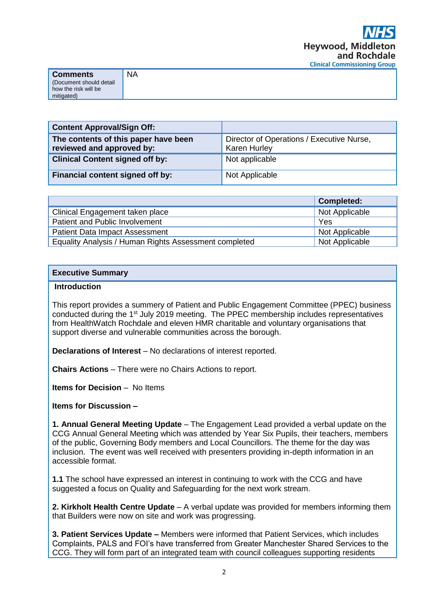| <b>Comments</b>                                 | <b>NA</b> |
|-------------------------------------------------|-----------|
| (Document should detail<br>how the risk will be |           |
| mitigated)                                      |           |

| <b>Content Approval/Sign Off:</b>                                 |                                                                  |
|-------------------------------------------------------------------|------------------------------------------------------------------|
| The contents of this paper have been<br>reviewed and approved by: | Director of Operations / Executive Nurse,<br><b>Karen Hurley</b> |
| <b>Clinical Content signed off by:</b>                            | Not applicable                                                   |
| Financial content signed off by:                                  | Not Applicable                                                   |

|                                                       | <b>Completed:</b> |
|-------------------------------------------------------|-------------------|
| Clinical Engagement taken place                       | Not Applicable    |
| Patient and Public Involvement                        | Yes               |
| <b>Patient Data Impact Assessment</b>                 | Not Applicable    |
| Equality Analysis / Human Rights Assessment completed | Not Applicable    |

#### **Executive Summary**

#### **Introduction**

This report provides a summery of Patient and Public Engagement Committee (PPEC) business conducted during the 1<sup>st</sup> July 2019 meeting. The PPEC membership includes representatives from HealthWatch Rochdale and eleven HMR charitable and voluntary organisations that support diverse and vulnerable communities across the borough.

**Declarations of Interest** – No declarations of interest reported.

**Chairs Actions** – There were no Chairs Actions to report.

**Items for Decision** – No Items

**Items for Discussion –**

**1. Annual General Meeting Update** – The Engagement Lead provided a verbal update on the CCG Annual General Meeting which was attended by Year Six Pupils, their teachers, members of the public, Governing Body members and Local Councillors. The theme for the day was inclusion. The event was well received with presenters providing in-depth information in an accessible format.

**1.1** The school have expressed an interest in continuing to work with the CCG and have suggested a focus on Quality and Safeguarding for the next work stream.

**2. Kirkholt Health Centre Update** – A verbal update was provided for members informing them that Builders were now on site and work was progressing.

**3. Patient Services Update –** Members were informed that Patient Services, which includes Complaints, PALS and FOI's have transferred from Greater Manchester Shared Services to the CCG. They will form part of an integrated team with council colleagues supporting residents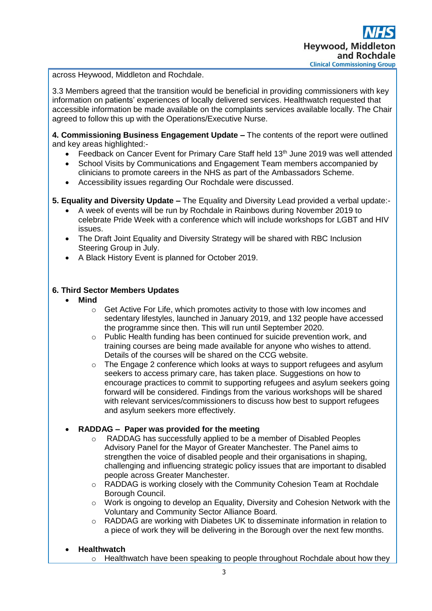across Heywood, Middleton and Rochdale.

3.3 Members agreed that the transition would be beneficial in providing commissioners with key information on patients' experiences of locally delivered services. Healthwatch requested that accessible information be made available on the complaints services available locally. The Chair agreed to follow this up with the Operations/Executive Nurse.

**4. Commissioning Business Engagement Update –** The contents of the report were outlined and key areas highlighted:-

- Feedback on Cancer Event for Primary Care Staff held 13<sup>th</sup> June 2019 was well attended
- School Visits by Communications and Engagement Team members accompanied by clinicians to promote careers in the NHS as part of the Ambassadors Scheme.
- Accessibility issues regarding Our Rochdale were discussed.
- **5. Equality and Diversity Update –** The Equality and Diversity Lead provided a verbal update:-
	- A week of events will be run by Rochdale in Rainbows during November 2019 to celebrate Pride Week with a conference which will include workshops for LGBT and HIV issues.
	- The Draft Joint Equality and Diversity Strategy will be shared with RBC Inclusion Steering Group in July.
	- A Black History Event is planned for October 2019.

## **6. Third Sector Members Updates**

- **Mind**
	- o Get Active For Life, which promotes activity to those with low incomes and sedentary lifestyles, launched in January 2019, and 132 people have accessed the programme since then. This will run until September 2020.
	- o Public Health funding has been continued for suicide prevention work, and training courses are being made available for anyone who wishes to attend. Details of the courses will be shared on the CCG website.
	- $\circ$  The Engage 2 conference which looks at ways to support refugees and asylum seekers to access primary care, has taken place. Suggestions on how to encourage practices to commit to supporting refugees and asylum seekers going forward will be considered. Findings from the various workshops will be shared with relevant services/commissioners to discuss how best to support refugees and asylum seekers more effectively.
- **RADDAG Paper was provided for the meeting**
	- o RADDAG has successfully applied to be a member of Disabled Peoples Advisory Panel for the Mayor of Greater Manchester. The Panel aims to strengthen the voice of disabled people and their organisations in shaping, challenging and influencing strategic policy issues that are important to disabled people across Greater Manchester.
	- $\circ$  RADDAG is working closely with the Community Cohesion Team at Rochdale Borough Council.
	- $\circ$  Work is ongoing to develop an Equality, Diversity and Cohesion Network with the Voluntary and Community Sector Alliance Board.
	- $\circ$  RADDAG are working with Diabetes UK to disseminate information in relation to a piece of work they will be delivering in the Borough over the next few months.
- **Healthwatch**
	- $\circ$  Healthwatch have been speaking to people throughout Rochdale about how they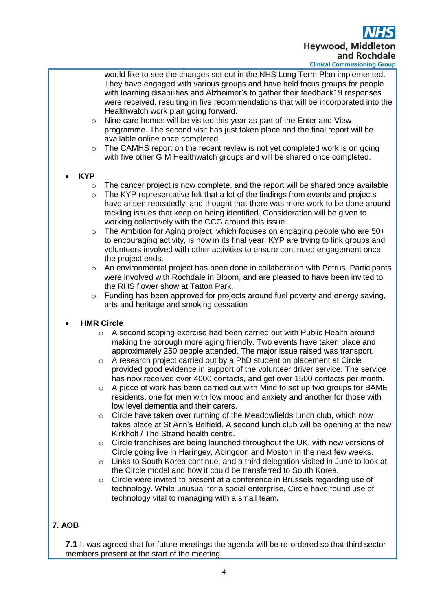**Heywood, Middle** and Rochdale **Clinical Commissioning Group** 

would like to see the changes set out in the NHS Long Term Plan implemented. They have engaged with various groups and have held focus groups for people with learning disabilities and Alzheimer's to gather their feedback19 responses were received, resulting in five recommendations that will be incorporated into the Healthwatch work plan going forward.

- o Nine care homes will be visited this year as part of the Enter and View programme. The second visit has just taken place and the final report will be available online once completed
- $\circ$  The CAMHS report on the recent review is not yet completed work is on going with five other G M Healthwatch groups and will be shared once completed.

## • **KYP**

- $\circ$  The cancer project is now complete, and the report will be shared once available
- o The KYP representative felt that a lot of the findings from events and projects have arisen repeatedly, and thought that there was more work to be done around tackling issues that keep on being identified. Consideration will be given to working collectively with the CCG around this issue.
- $\circ$  The Ambition for Aging project, which focuses on engaging people who are 50+ to encouraging activity, is now in its final year. KYP are trying to link groups and volunteers involved with other activities to ensure continued engagement once the project ends.
- o An environmental project has been done in collaboration with Petrus. Participants were involved with Rochdale in Bloom, and are pleased to have been invited to the RHS flower show at Tatton Park.
- $\circ$  Funding has been approved for projects around fuel poverty and energy saving, arts and heritage and smoking cessation

#### • **HMR Circle**

- o A second scoping exercise had been carried out with Public Health around making the borough more aging friendly. Two events have taken place and approximately 250 people attended. The major issue raised was transport.
- $\circ$  A research project carried out by a PhD student on placement at Circle provided good evidence in support of the volunteer driver service. The service has now received over 4000 contacts, and get over 1500 contacts per month.
- $\circ$  A piece of work has been carried out with Mind to set up two groups for BAME residents, one for men with low mood and anxiety and another for those with low level dementia and their carers.
- $\circ$  Circle have taken over running of the Meadowfields lunch club, which now takes place at St Ann's Belfield. A second lunch club will be opening at the new Kirkholt / The Strand health centre.
- $\circ$  Circle franchises are being launched throughout the UK, with new versions of Circle going live in Haringey, Abingdon and Moston in the next few weeks.
- o Links to South Korea continue, and a third delegation visited in June to look at the Circle model and how it could be transferred to South Korea.
- $\circ$  Circle were invited to present at a conference in Brussels regarding use of technology. While unusual for a social enterprise, Circle have found use of technology vital to managing with a small team**.**

# **7. AOB**

**7.1** It was agreed that for future meetings the agenda will be re-ordered so that third sector members present at the start of the meeting.